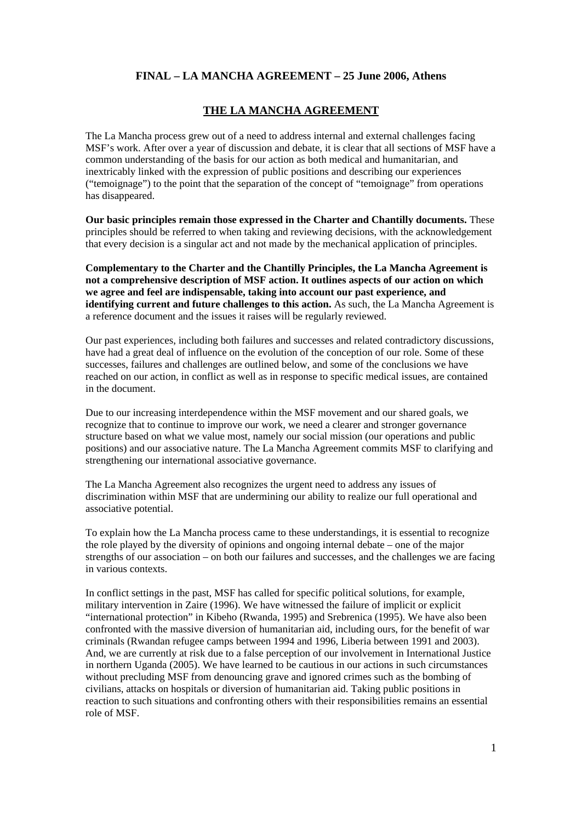#### **THE LA MANCHA AGREEMENT**

The La Mancha process grew out of a need to address internal and external challenges facing MSF's work. After over a year of discussion and debate, it is clear that all sections of MSF have a common understanding of the basis for our action as both medical and humanitarian, and inextricably linked with the expression of public positions and describing our experiences ("temoignage") to the point that the separation of the concept of "temoignage" from operations has disappeared.

**Our basic principles remain those expressed in the Charter and Chantilly documents.** These principles should be referred to when taking and reviewing decisions, with the acknowledgement that every decision is a singular act and not made by the mechanical application of principles.

**Complementary to the Charter and the Chantilly Principles, the La Mancha Agreement is not a comprehensive description of MSF action. It outlines aspects of our action on which we agree and feel are indispensable, taking into account our past experience, and identifying current and future challenges to this action.** As such, the La Mancha Agreement is a reference document and the issues it raises will be regularly reviewed.

Our past experiences, including both failures and successes and related contradictory discussions, have had a great deal of influence on the evolution of the conception of our role. Some of these successes, failures and challenges are outlined below, and some of the conclusions we have reached on our action, in conflict as well as in response to specific medical issues, are contained in the document.

Due to our increasing interdependence within the MSF movement and our shared goals, we recognize that to continue to improve our work, we need a clearer and stronger governance structure based on what we value most, namely our social mission (our operations and public positions) and our associative nature. The La Mancha Agreement commits MSF to clarifying and strengthening our international associative governance.

The La Mancha Agreement also recognizes the urgent need to address any issues of discrimination within MSF that are undermining our ability to realize our full operational and associative potential.

To explain how the La Mancha process came to these understandings, it is essential to recognize the role played by the diversity of opinions and ongoing internal debate – one of the major strengths of our association – on both our failures and successes, and the challenges we are facing in various contexts.

In conflict settings in the past, MSF has called for specific political solutions, for example, military intervention in Zaire (1996). We have witnessed the failure of implicit or explicit "international protection" in Kibeho (Rwanda, 1995) and Srebrenica (1995). We have also been confronted with the massive diversion of humanitarian aid, including ours, for the benefit of war criminals (Rwandan refugee camps between 1994 and 1996, Liberia between 1991 and 2003). And, we are currently at risk due to a false perception of our involvement in International Justice in northern Uganda (2005). We have learned to be cautious in our actions in such circumstances without precluding MSF from denouncing grave and ignored crimes such as the bombing of civilians, attacks on hospitals or diversion of humanitarian aid. Taking public positions in reaction to such situations and confronting others with their responsibilities remains an essential role of MSF.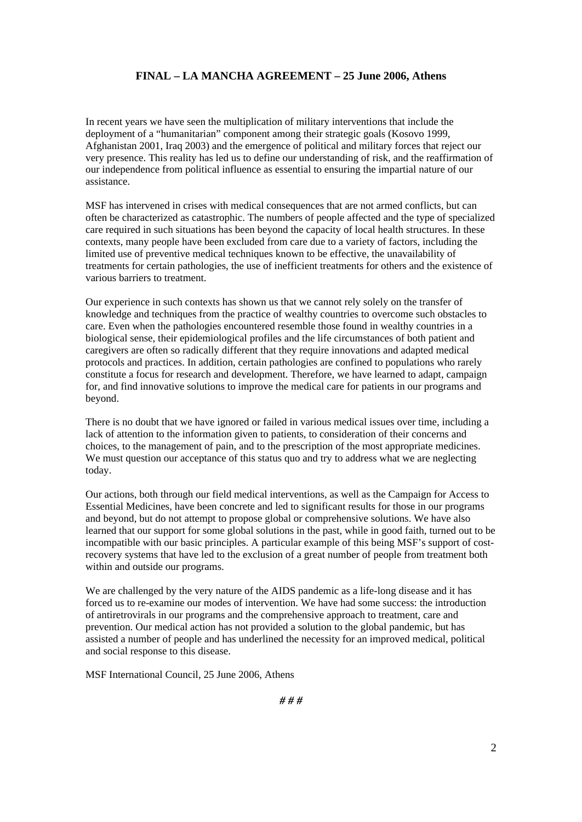In recent years we have seen the multiplication of military interventions that include the deployment of a "humanitarian" component among their strategic goals (Kosovo 1999, Afghanistan 2001, Iraq 2003) and the emergence of political and military forces that reject our very presence. This reality has led us to define our understanding of risk, and the reaffirmation of our independence from political influence as essential to ensuring the impartial nature of our assistance.

MSF has intervened in crises with medical consequences that are not armed conflicts, but can often be characterized as catastrophic. The numbers of people affected and the type of specialized care required in such situations has been beyond the capacity of local health structures. In these contexts, many people have been excluded from care due to a variety of factors, including the limited use of preventive medical techniques known to be effective, the unavailability of treatments for certain pathologies, the use of inefficient treatments for others and the existence of various barriers to treatment.

Our experience in such contexts has shown us that we cannot rely solely on the transfer of knowledge and techniques from the practice of wealthy countries to overcome such obstacles to care. Even when the pathologies encountered resemble those found in wealthy countries in a biological sense, their epidemiological profiles and the life circumstances of both patient and caregivers are often so radically different that they require innovations and adapted medical protocols and practices. In addition, certain pathologies are confined to populations who rarely constitute a focus for research and development. Therefore, we have learned to adapt, campaign for, and find innovative solutions to improve the medical care for patients in our programs and beyond.

There is no doubt that we have ignored or failed in various medical issues over time, including a lack of attention to the information given to patients, to consideration of their concerns and choices, to the management of pain, and to the prescription of the most appropriate medicines. We must question our acceptance of this status quo and try to address what we are neglecting today.

Our actions, both through our field medical interventions, as well as the Campaign for Access to Essential Medicines, have been concrete and led to significant results for those in our programs and beyond, but do not attempt to propose global or comprehensive solutions. We have also learned that our support for some global solutions in the past, while in good faith, turned out to be incompatible with our basic principles. A particular example of this being MSF's support of costrecovery systems that have led to the exclusion of a great number of people from treatment both within and outside our programs.

We are challenged by the very nature of the AIDS pandemic as a life-long disease and it has forced us to re-examine our modes of intervention. We have had some success: the introduction of antiretrovirals in our programs and the comprehensive approach to treatment, care and prevention. Our medical action has not provided a solution to the global pandemic, but has assisted a number of people and has underlined the necessity for an improved medical, political and social response to this disease.

MSF International Council, 25 June 2006, Athens

*# # #*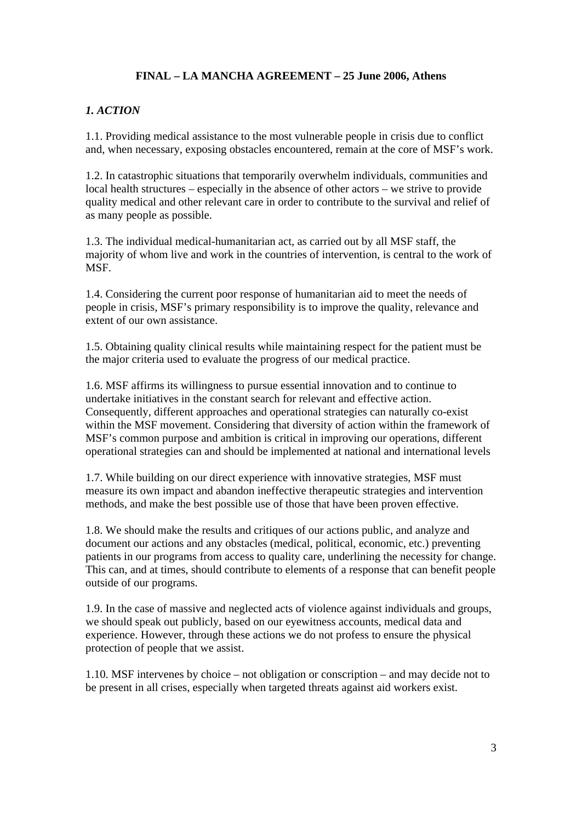## *1. ACTION*

1.1. Providing medical assistance to the most vulnerable people in crisis due to conflict and, when necessary, exposing obstacles encountered, remain at the core of MSF's work.

1.2. In catastrophic situations that temporarily overwhelm individuals, communities and local health structures – especially in the absence of other actors – we strive to provide quality medical and other relevant care in order to contribute to the survival and relief of as many people as possible.

1.3. The individual medical-humanitarian act, as carried out by all MSF staff, the majority of whom live and work in the countries of intervention, is central to the work of MSF.

1.4. Considering the current poor response of humanitarian aid to meet the needs of people in crisis, MSF's primary responsibility is to improve the quality, relevance and extent of our own assistance.

1.5. Obtaining quality clinical results while maintaining respect for the patient must be the major criteria used to evaluate the progress of our medical practice.

1.6. MSF affirms its willingness to pursue essential innovation and to continue to undertake initiatives in the constant search for relevant and effective action. Consequently, different approaches and operational strategies can naturally co-exist within the MSF movement. Considering that diversity of action within the framework of MSF's common purpose and ambition is critical in improving our operations, different operational strategies can and should be implemented at national and international levels

1.7. While building on our direct experience with innovative strategies, MSF must measure its own impact and abandon ineffective therapeutic strategies and intervention methods, and make the best possible use of those that have been proven effective.

1.8. We should make the results and critiques of our actions public, and analyze and document our actions and any obstacles (medical, political, economic, etc.) preventing patients in our programs from access to quality care, underlining the necessity for change. This can, and at times, should contribute to elements of a response that can benefit people outside of our programs.

1.9. In the case of massive and neglected acts of violence against individuals and groups, we should speak out publicly, based on our eyewitness accounts, medical data and experience. However, through these actions we do not profess to ensure the physical protection of people that we assist.

1.10. MSF intervenes by choice – not obligation or conscription – and may decide not to be present in all crises, especially when targeted threats against aid workers exist.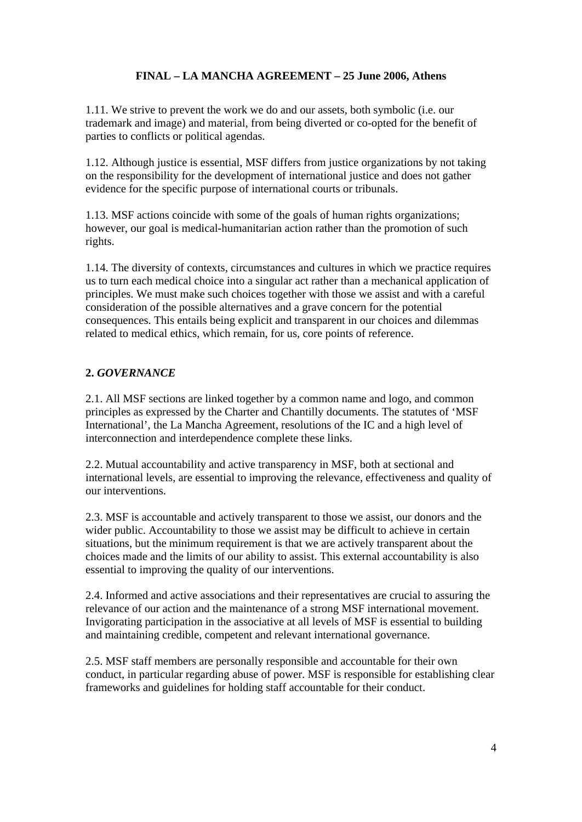1.11. We strive to prevent the work we do and our assets, both symbolic (i.e. our trademark and image) and material, from being diverted or co-opted for the benefit of parties to conflicts or political agendas.

1.12. Although justice is essential, MSF differs from justice organizations by not taking on the responsibility for the development of international justice and does not gather evidence for the specific purpose of international courts or tribunals.

1.13. MSF actions coincide with some of the goals of human rights organizations; however, our goal is medical-humanitarian action rather than the promotion of such rights.

1.14. The diversity of contexts, circumstances and cultures in which we practice requires us to turn each medical choice into a singular act rather than a mechanical application of principles. We must make such choices together with those we assist and with a careful consideration of the possible alternatives and a grave concern for the potential consequences. This entails being explicit and transparent in our choices and dilemmas related to medical ethics, which remain, for us, core points of reference.

# **2.** *GOVERNANCE*

2.1. All MSF sections are linked together by a common name and logo, and common principles as expressed by the Charter and Chantilly documents. The statutes of 'MSF International', the La Mancha Agreement, resolutions of the IC and a high level of interconnection and interdependence complete these links.

2.2. Mutual accountability and active transparency in MSF, both at sectional and international levels, are essential to improving the relevance, effectiveness and quality of our interventions.

2.3. MSF is accountable and actively transparent to those we assist, our donors and the wider public. Accountability to those we assist may be difficult to achieve in certain situations, but the minimum requirement is that we are actively transparent about the choices made and the limits of our ability to assist. This external accountability is also essential to improving the quality of our interventions.

2.4. Informed and active associations and their representatives are crucial to assuring the relevance of our action and the maintenance of a strong MSF international movement. Invigorating participation in the associative at all levels of MSF is essential to building and maintaining credible, competent and relevant international governance.

2.5. MSF staff members are personally responsible and accountable for their own conduct, in particular regarding abuse of power. MSF is responsible for establishing clear frameworks and guidelines for holding staff accountable for their conduct.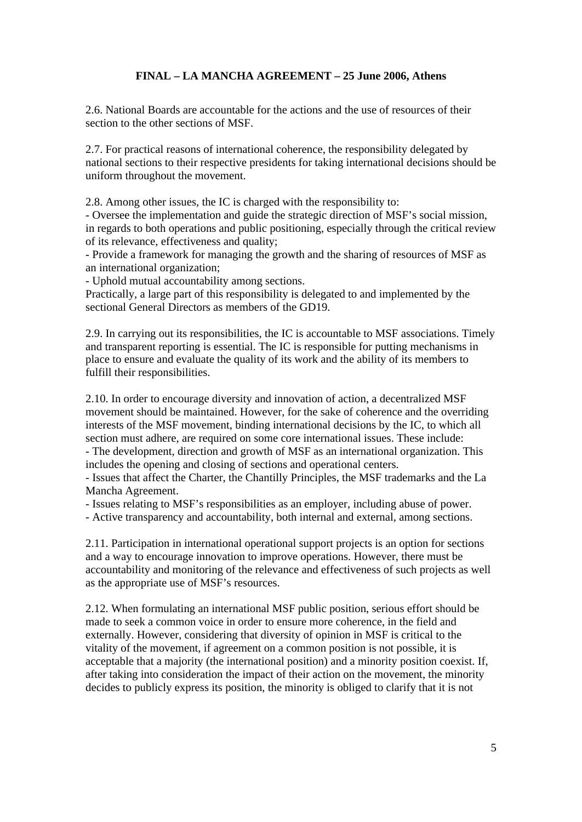2.6. National Boards are accountable for the actions and the use of resources of their section to the other sections of MSF.

2.7. For practical reasons of international coherence, the responsibility delegated by national sections to their respective presidents for taking international decisions should be uniform throughout the movement.

2.8. Among other issues, the IC is charged with the responsibility to: - Oversee the implementation and guide the strategic direction of MSF's social mission, in regards to both operations and public positioning, especially through the critical review of its relevance, effectiveness and quality; - Provide a framework for managing the growth and the sharing of resources of MSF as

an international organization;

- Uphold mutual accountability among sections.

Practically, a large part of this responsibility is delegated to and implemented by the sectional General Directors as members of the GD19.

2.9. In carrying out its responsibilities, the IC is accountable to MSF associations. Timely and transparent reporting is essential. The IC is responsible for putting mechanisms in place to ensure and evaluate the quality of its work and the ability of its members to fulfill their responsibilities.

2.10. In order to encourage diversity and innovation of action, a decentralized MSF movement should be maintained. However, for the sake of coherence and the overriding interests of the MSF movement, binding international decisions by the IC, to which all section must adhere, are required on some core international issues. These include:

- The development, direction and growth of MSF as an international organization. This includes the opening and closing of sections and operational centers.

- Issues that affect the Charter, the Chantilly Principles, the MSF trademarks and the La Mancha Agreement.

- Issues relating to MSF's responsibilities as an employer, including abuse of power.

- Active transparency and accountability, both internal and external, among sections.

2.11. Participation in international operational support projects is an option for sections and a way to encourage innovation to improve operations. However, there must be accountability and monitoring of the relevance and effectiveness of such projects as well as the appropriate use of MSF's resources.

2.12. When formulating an international MSF public position, serious effort should be made to seek a common voice in order to ensure more coherence, in the field and externally. However, considering that diversity of opinion in MSF is critical to the vitality of the movement, if agreement on a common position is not possible, it is acceptable that a majority (the international position) and a minority position coexist. If, after taking into consideration the impact of their action on the movement, the minority decides to publicly express its position, the minority is obliged to clarify that it is not